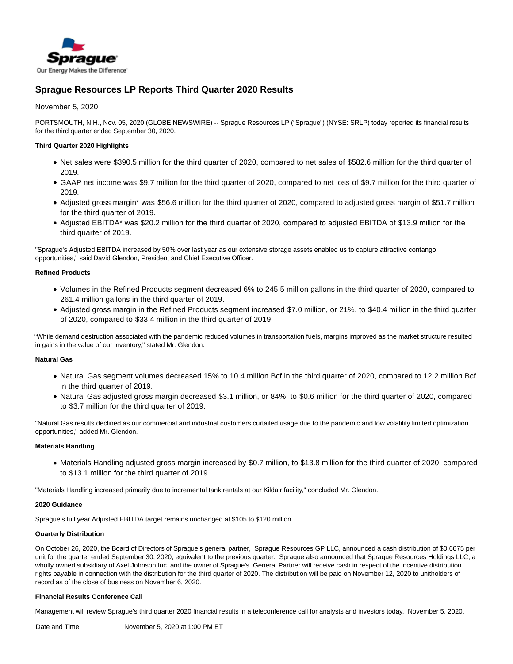

# **Sprague Resources LP Reports Third Quarter 2020 Results**

November 5, 2020

PORTSMOUTH, N.H., Nov. 05, 2020 (GLOBE NEWSWIRE) -- Sprague Resources LP ("Sprague") (NYSE: SRLP) today reported its financial results for the third quarter ended September 30, 2020.

## **Third Quarter 2020 Highlights**

- Net sales were \$390.5 million for the third quarter of 2020, compared to net sales of \$582.6 million for the third quarter of 2019.
- GAAP net income was \$9.7 million for the third quarter of 2020, compared to net loss of \$9.7 million for the third quarter of 2019.
- Adjusted gross margin\* was \$56.6 million for the third quarter of 2020, compared to adjusted gross margin of \$51.7 million for the third quarter of 2019.
- Adjusted EBITDA\* was \$20.2 million for the third quarter of 2020, compared to adjusted EBITDA of \$13.9 million for the third quarter of 2019.

"Sprague's Adjusted EBITDA increased by 50% over last year as our extensive storage assets enabled us to capture attractive contango opportunities," said David Glendon, President and Chief Executive Officer.

## **Refined Products**

- Volumes in the Refined Products segment decreased 6% to 245.5 million gallons in the third quarter of 2020, compared to 261.4 million gallons in the third quarter of 2019.
- Adjusted gross margin in the Refined Products segment increased \$7.0 million, or 21%, to \$40.4 million in the third quarter of 2020, compared to \$33.4 million in the third quarter of 2019.

"While demand destruction associated with the pandemic reduced volumes in transportation fuels, margins improved as the market structure resulted in gains in the value of our inventory," stated Mr. Glendon.

## **Natural Gas**

- Natural Gas segment volumes decreased 15% to 10.4 million Bcf in the third quarter of 2020, compared to 12.2 million Bcf in the third quarter of 2019.
- Natural Gas adjusted gross margin decreased \$3.1 million, or 84%, to \$0.6 million for the third quarter of 2020, compared to \$3.7 million for the third quarter of 2019.

"Natural Gas results declined as our commercial and industrial customers curtailed usage due to the pandemic and low volatility limited optimization opportunities," added Mr. Glendon.

### **Materials Handling**

Materials Handling adjusted gross margin increased by \$0.7 million, to \$13.8 million for the third quarter of 2020, compared to \$13.1 million for the third quarter of 2019.

"Materials Handling increased primarily due to incremental tank rentals at our Kildair facility," concluded Mr. Glendon.

### **2020 Guidance**

Sprague's full year Adjusted EBITDA target remains unchanged at \$105 to \$120 million.

### **Quarterly Distribution**

On October 26, 2020, the Board of Directors of Sprague's general partner, Sprague Resources GP LLC, announced a cash distribution of \$0.6675 per unit for the quarter ended September 30, 2020, equivalent to the previous quarter. Sprague also announced that Sprague Resources Holdings LLC, a wholly owned subsidiary of Axel Johnson Inc. and the owner of Sprague's General Partner will receive cash in respect of the incentive distribution rights payable in connection with the distribution for the third quarter of 2020. The distribution will be paid on November 12, 2020 to unitholders of record as of the close of business on November 6, 2020.

### **Financial Results Conference Call**

Management will review Sprague's third quarter 2020 financial results in a teleconference call for analysts and investors today, November 5, 2020.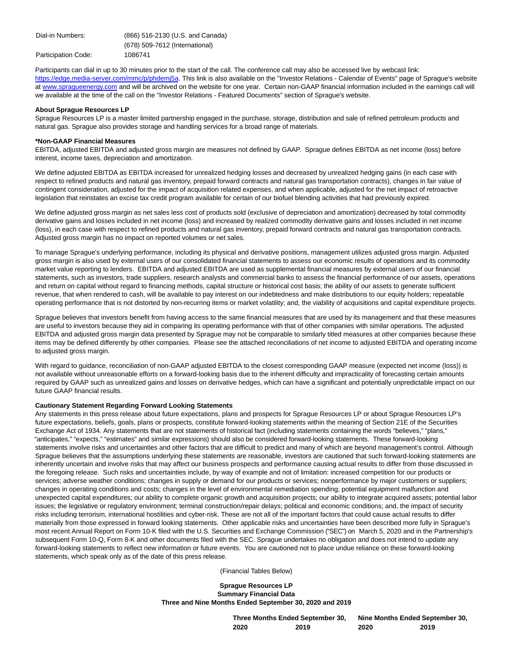Participants can dial in up to 30 minutes prior to the start of the call. The conference call may also be accessed live by webcast link: [https://edge.media-server.com/m](https://www.globenewswire.com/Tracker?data=F-MCN9-CWe8g6JmjrxFQMhLdPK1Jlp3PK9x-26ZxN51h5m6bS5PqOPkxF7i-vCwSz2Qqq3hMiSXIUzBRRSUcZKRsMeoMQs4RCXvQH5uf3bgJ716AdBIktNj5l3E-1r7i8SC4eRqEdPRZh8msAlr9dg==)[mc/p/phdemj5](https://www.globenewswire.com/Tracker?data=9M8csEDctSr1s78Z6xJUEuLeYwmaNlfZuTguq9gunYCZsapaJI6hqwDJjmKrSpJtgwb5Xa5reOkVTr4FHiUDt4OLrMiVYK6dVBgD4OJjGu4=)a</u>. This link is also available on the "Investor Relations - Calendar of Events" page of Sprague's website at [www.spragueenergy.com a](http://www.spragueenergy.com/)nd will be archived on the website for one year. Certain non-GAAP financial information included in the earnings call will we available at the time of the call on the "Investor Relations - Featured Documents" section of Sprague's website.

#### **About Sprague Resources LP**

Sprague Resources LP is a master limited partnership engaged in the purchase, storage, distribution and sale of refined petroleum products and natural gas. Sprague also provides storage and handling services for a broad range of materials.

#### **\*Non-GAAP Financial Measures**

EBITDA, adjusted EBITDA and adjusted gross margin are measures not defined by GAAP. Sprague defines EBITDA as net income (loss) before interest, income taxes, depreciation and amortization.

We define adjusted EBITDA as EBITDA increased for unrealized hedging losses and decreased by unrealized hedging gains (in each case with respect to refined products and natural gas inventory, prepaid forward contracts and natural gas transportation contracts), changes in fair value of contingent consideration, adjusted for the impact of acquisition related expenses, and when applicable, adjusted for the net impact of retroactive legislation that reinstates an excise tax credit program available for certain of our biofuel blending activities that had previously expired.

We define adjusted gross margin as net sales less cost of products sold (exclusive of depreciation and amortization) decreased by total commodity derivative gains and losses included in net income (loss) and increased by realized commodity derivative gains and losses included in net income (loss), in each case with respect to refined products and natural gas inventory, prepaid forward contracts and natural gas transportation contracts. Adjusted gross margin has no impact on reported volumes or net sales.

To manage Sprague's underlying performance, including its physical and derivative positions, management utilizes adjusted gross margin. Adjusted gross margin is also used by external users of our consolidated financial statements to assess our economic results of operations and its commodity market value reporting to lenders. EBITDA and adjusted EBITDA are used as supplemental financial measures by external users of our financial statements, such as investors, trade suppliers, research analysts and commercial banks to assess the financial performance of our assets, operations and return on capital without regard to financing methods, capital structure or historical cost basis; the ability of our assets to generate sufficient revenue, that when rendered to cash, will be available to pay interest on our indebtedness and make distributions to our equity holders; repeatable operating performance that is not distorted by non-recurring items or market volatility; and, the viability of acquisitions and capital expenditure projects.

Sprague believes that investors benefit from having access to the same financial measures that are used by its management and that these measures are useful to investors because they aid in comparing its operating performance with that of other companies with similar operations. The adjusted EBITDA and adjusted gross margin data presented by Sprague may not be comparable to similarly titled measures at other companies because these items may be defined differently by other companies. Please see the attached reconciliations of net income to adjusted EBITDA and operating income to adjusted gross margin.

With regard to guidance, reconciliation of non-GAAP adjusted EBITDA to the closest corresponding GAAP measure (expected net income (loss)) is not available without unreasonable efforts on a forward-looking basis due to the inherent difficulty and impracticality of forecasting certain amounts required by GAAP such as unrealized gains and losses on derivative hedges, which can have a significant and potentially unpredictable impact on our future GAAP financial results.

## **Cautionary Statement Regarding Forward Looking Statements**

Any statements in this press release about future expectations, plans and prospects for Sprague Resources LP or about Sprague Resources LP's future expectations, beliefs, goals, plans or prospects, constitute forward-looking statements within the meaning of Section 21E of the Securities Exchange Act of 1934. Any statements that are not statements of historical fact (including statements containing the words "believes," "plans," "anticipates," "expects," "estimates" and similar expressions) should also be considered forward-looking statements. These forward-looking statements involve risks and uncertainties and other factors that are difficult to predict and many of which are beyond management's control. Although Sprague believes that the assumptions underlying these statements are reasonable, investors are cautioned that such forward-looking statements are inherently uncertain and involve risks that may affect our business prospects and performance causing actual results to differ from those discussed in the foregoing release. Such risks and uncertainties include, by way of example and not of limitation: increased competition for our products or services; adverse weather conditions; changes in supply or demand for our products or services; nonperformance by major customers or suppliers; changes in operating conditions and costs; changes in the level of environmental remediation spending; potential equipment malfunction and unexpected capital expenditures; our ability to complete organic growth and acquisition projects; our ability to integrate acquired assets; potential labor issues; the legislative or regulatory environment; terminal construction/repair delays; political and economic conditions; and, the impact of security risks including terrorism, international hostilities and cyber-risk. These are not all of the important factors that could cause actual results to differ materially from those expressed in forward looking statements. Other applicable risks and uncertainties have been described more fully in Sprague's most recent Annual Report on Form 10-K filed with the U.S. Securities and Exchange Commission ("SEC") on March 5, 2020 and in the Partnership's subsequent Form 10-Q, Form 8-K and other documents filed with the SEC. Sprague undertakes no obligation and does not intend to update any forward-looking statements to reflect new information or future events. You are cautioned not to place undue reliance on these forward-looking statements, which speak only as of the date of this press release.

(Financial Tables Below)

**Sprague Resources LP Summary Financial Data Three and Nine Months Ended September 30, 2020 and 2019**

| Three Months Ended September 30, |      | Nine Months Ended September 30, |      |  |  |  |  |  |
|----------------------------------|------|---------------------------------|------|--|--|--|--|--|
| 2020                             | 2019 | 2020                            | 2019 |  |  |  |  |  |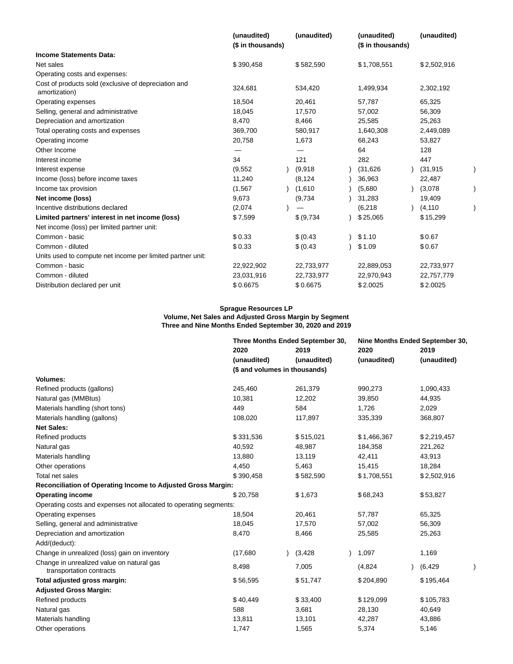|                                                                       | (unaudited)<br>(\$ in thousands) | (unaudited) | (unaudited)<br>(\$ in thousands) | (unaudited) |  |
|-----------------------------------------------------------------------|----------------------------------|-------------|----------------------------------|-------------|--|
| <b>Income Statements Data:</b>                                        |                                  |             |                                  |             |  |
| Net sales                                                             | \$390,458                        | \$582,590   | \$1,708,551                      | \$2,502,916 |  |
| Operating costs and expenses:                                         |                                  |             |                                  |             |  |
| Cost of products sold (exclusive of depreciation and<br>amortization) | 324,681                          | 534,420     | 1,499,934                        | 2,302,192   |  |
| Operating expenses                                                    | 18,504                           | 20,461      | 57,787                           | 65,325      |  |
| Selling, general and administrative                                   | 18,045                           | 17,570      | 57,002                           | 56,309      |  |
| Depreciation and amortization                                         | 8,470                            | 8,466       | 25,585                           | 25,263      |  |
| Total operating costs and expenses                                    | 369,700                          | 580,917     | 1,640,308                        | 2,449,089   |  |
| Operating income                                                      | 20,758                           | 1,673       | 68,243                           | 53,827      |  |
| Other Income                                                          | —                                |             | 64                               | 128         |  |
| Interest income                                                       | 34                               | 121         | 282                              | 447         |  |
| Interest expense                                                      | (9, 552)                         | (9,918)     | (31, 626)                        | (31, 915)   |  |
| Income (loss) before income taxes                                     | 11,240                           | (8, 124)    | 36,963                           | 22,487      |  |
| Income tax provision                                                  | (1, 567)                         | (1,610)     | (5,680)                          | (3,078)     |  |
| Net income (loss)                                                     | 9,673                            | (9,734)     | 31,283                           | 19,409      |  |
| Incentive distributions declared                                      | (2,074)                          |             | (6, 218)                         | (4, 110)    |  |
| Limited partners' interest in net income (loss)                       | \$7,599                          | \$ (9,734)  | \$25,065                         | \$15,299    |  |
| Net income (loss) per limited partner unit:                           |                                  |             |                                  |             |  |
| Common - basic                                                        | \$0.33                           | \$ (0.43)   | \$1.10                           | \$0.67      |  |
| Common - diluted                                                      | \$0.33                           | \$ (0.43)   | \$1.09                           | \$0.67      |  |
| Units used to compute net income per limited partner unit:            |                                  |             |                                  |             |  |
| Common - basic                                                        | 22,922,902                       | 22,733,977  | 22,889,053                       | 22,733,977  |  |
| Common - diluted                                                      | 23,031,916                       | 22,733,977  | 22,970,943                       | 22,757,779  |  |
| Distribution declared per unit                                        | \$0.6675                         | \$0.6675    | \$2.0025                         | \$2.0025    |  |

#### **Sprague Resources LP Volume, Net Sales and Adjusted Gross Margin by Segment Three and Nine Months Ended September 30, 2020 and 2019**

|                                                                       |             | Three Months Ended September 30, | Nine Months Ended September 30, |             |  |  |  |  |  |
|-----------------------------------------------------------------------|-------------|----------------------------------|---------------------------------|-------------|--|--|--|--|--|
|                                                                       | 2020        | 2019                             | 2020                            | 2019        |  |  |  |  |  |
|                                                                       | (unaudited) | (unaudited)                      | (unaudited)                     | (unaudited) |  |  |  |  |  |
|                                                                       |             | (\$ and volumes in thousands)    |                                 |             |  |  |  |  |  |
| <b>Volumes:</b>                                                       |             |                                  |                                 |             |  |  |  |  |  |
| Refined products (gallons)                                            | 245,460     | 261,379                          | 990,273                         | 1,090,433   |  |  |  |  |  |
| Natural gas (MMBtus)                                                  | 10,381      | 12,202                           | 39,850                          | 44,935      |  |  |  |  |  |
| Materials handling (short tons)                                       | 449         | 584                              | 1,726                           | 2,029       |  |  |  |  |  |
| Materials handling (gallons)                                          | 108,020     | 117,897                          | 335,339                         | 368,807     |  |  |  |  |  |
| <b>Net Sales:</b>                                                     |             |                                  |                                 |             |  |  |  |  |  |
| Refined products                                                      | \$331,536   | \$515,021                        | \$1,466,367                     | \$2,219,457 |  |  |  |  |  |
| Natural gas                                                           | 40,592      | 48,987                           | 184,358                         | 221,262     |  |  |  |  |  |
| Materials handling                                                    | 13,880      | 13,119                           | 42,411                          | 43,913      |  |  |  |  |  |
| Other operations                                                      | 4,450       | 5,463                            | 15,415                          | 18,284      |  |  |  |  |  |
| Total net sales                                                       | \$390,458   | \$582,590                        | \$1,708,551                     | \$2,502,916 |  |  |  |  |  |
| Reconciliation of Operating Income to Adjusted Gross Margin:          |             |                                  |                                 |             |  |  |  |  |  |
| <b>Operating income</b>                                               | \$20,758    | \$1,673                          | \$68,243                        | \$53,827    |  |  |  |  |  |
| Operating costs and expenses not allocated to operating segments:     |             |                                  |                                 |             |  |  |  |  |  |
| Operating expenses                                                    | 18,504      | 20,461                           | 57,787                          | 65,325      |  |  |  |  |  |
| Selling, general and administrative                                   | 18,045      | 17,570                           | 57,002                          | 56,309      |  |  |  |  |  |
| Depreciation and amortization                                         | 8,470       | 8,466                            | 25,585                          | 25,263      |  |  |  |  |  |
| Add/(deduct):                                                         |             |                                  |                                 |             |  |  |  |  |  |
| Change in unrealized (loss) gain on inventory                         | (17,680)    | (3, 428)                         | 1,097                           | 1,169       |  |  |  |  |  |
| Change in unrealized value on natural gas<br>transportation contracts | 8,498       | 7,005                            | (4,824)                         | (6, 429)    |  |  |  |  |  |
| Total adjusted gross margin:                                          | \$56,595    | \$51,747                         | \$204,890                       | \$195,464   |  |  |  |  |  |
| <b>Adjusted Gross Margin:</b>                                         |             |                                  |                                 |             |  |  |  |  |  |
| Refined products                                                      | \$40,449    | \$33,400                         | \$129,099                       | \$105,783   |  |  |  |  |  |
| Natural gas                                                           | 588         | 3,681                            | 28,130                          | 40,649      |  |  |  |  |  |
| Materials handling                                                    | 13,811      | 13,101                           | 42,287                          | 43,886      |  |  |  |  |  |
| Other operations                                                      | 1,747       | 1,565                            | 5,374                           | 5,146       |  |  |  |  |  |